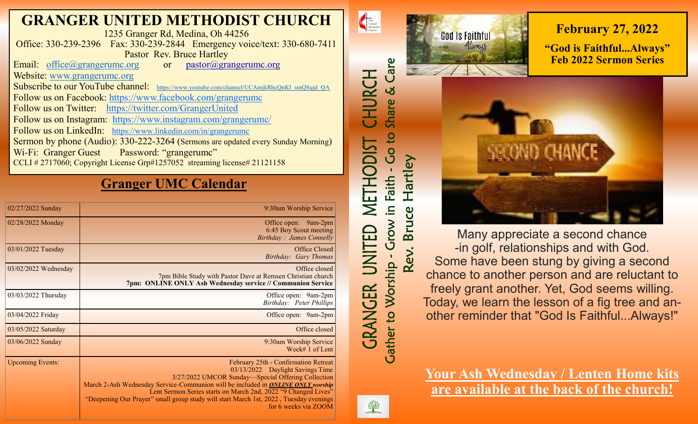# **GRANGER UNITED METHODIST CHURCH**

1235 Granger Rd, Medina, Oh 44256 Office: 330-239-2396 Fax: 330-239-2844 Emergency voice/text: 330-680-7411 Pastor Rev. Bruce Hartley

Email: [office@grangerumc.org](mailto:office@grangerumc.org) or pastor@grangerumc.org Website: [www.grangerumc.org](http://www.grangerumc.org) Subscribe to our YouTube channel: [https://www.youtube.com/channel/UCAmjkRhcQnKI\\_smQSqjd\\_QA](https://www.youtube.com/channel/UCAmjkRhcQnKI_smQSqjd_QA) Follow us on Facebook: <https://www.facebook.com/grangerumc> Follow us on Twitter: <https://twitter.com/GrangerUnited> Follow us on Instagram: <https://www.instagram.com/grangerumc/> Follow us on LinkedIn: [https://www.linkedin.com/in/grangerumc](https://www.linkedin.com/in/secretary-granger-umc-1a9850215/detail/recent-activity/) Sermon by phone (Audio): 330-222-3264 (Sermons are updated every Sunday Morning) Wi-Fi: Granger Guest Password: "grangerumc" CCLI # 2717060; Copyright License Grp#1257052 streaming license# 21121158

# **Granger UMC Calendar**

| 02/27/2022 Sunday       | 9:30am Worship Service                                                                                                                                                                                                                                                                                                                                                                                      |
|-------------------------|-------------------------------------------------------------------------------------------------------------------------------------------------------------------------------------------------------------------------------------------------------------------------------------------------------------------------------------------------------------------------------------------------------------|
| 02/28/2022 Monday       | Office open: 9am-2pm<br>6:45 Boy Scout meeting<br>Birthday: James Connelly                                                                                                                                                                                                                                                                                                                                  |
| 03/01/2022 Tuesday      | Office Closed<br>Birthday: Gary Thomas                                                                                                                                                                                                                                                                                                                                                                      |
| 03/02/2022 Wednesday    | Office closed<br>7pm Bible Study with Pastor Dave at Remsen Christian church<br>7pm: ONLINE ONLY Ash Wednesday service // Communion Service                                                                                                                                                                                                                                                                 |
| 03/03/2022 Thursday     | Office open: 9am-2pm<br>Birthday: Peter Phillips                                                                                                                                                                                                                                                                                                                                                            |
| 03/04/2022 Friday       | Office open: 9am-2pm                                                                                                                                                                                                                                                                                                                                                                                        |
| 03/05/2022 Saturday     | Office closed                                                                                                                                                                                                                                                                                                                                                                                               |
| 03/06/2022 Sunday       | 9:30am Worship Service<br>Week# 1 of Lent                                                                                                                                                                                                                                                                                                                                                                   |
| <b>Upcoming Events:</b> | February 25th - Confirmation Retreat<br>03/13/2022 Daylight Savings Time<br>3/27/2022 UMCOR Sunday—Special Offering Collection<br>March 2-Ash Wednesday Service-Communion will be included in <b>ONLINE ONLY</b> worship<br>Lent Sermon Series starts on March 2nd, 2022 "9 Changed Lives"<br>"Deepening Our Prayer" small group study will start March 1st, 2022, Tuesday evenings<br>for 6 weeks via ZOOM |



Many appreciate a second chance -in golf, relationships and with God. Some have been stung by giving a second chance to another person and are reluctant to freely grant another. Yet, God seems willing. Today, we learn the lesson of a fig tree and another reminder that "God Is Faithful...Always!"

**Your Ash Wednesday / Lenten Home kits are available at the back of the church!**



The United Methodist

CHURCH

METHODIST

巨

*GRANGER* 

Care

Share &

Go to

Faith

 $\Xi$ .

Grow<sup>"</sup>

**Cather to Worship** 

Hartley

ruce

 $\overline{\mathbf{a}}$ 

Rev.